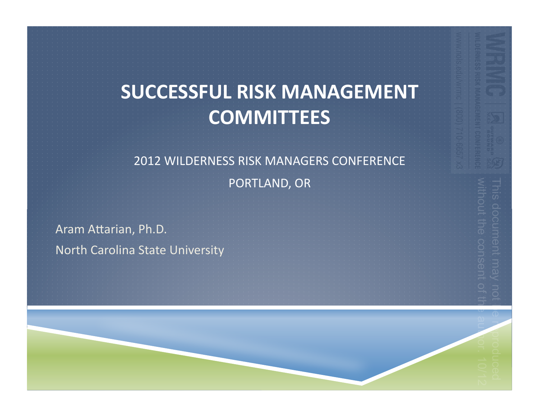#### **SUCCESSFUL'RISK'MANAGEMENT' COMMITTEES**

## 2012 WILDERNESS RISK MANAGERS CONFERENCE

PORTLAND, OR

Aram Attarian, Ph.D. North Carolina State University

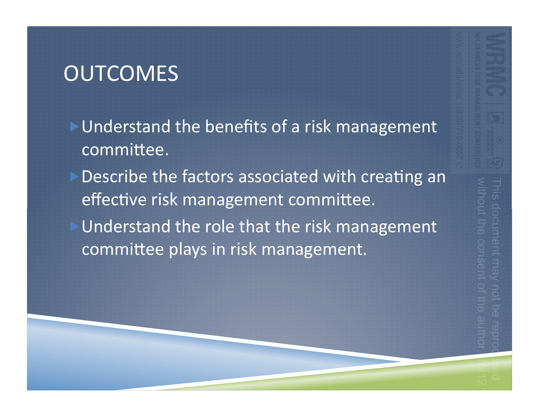## **OUTCOMES**

Understand the benefits of a risk management committee.

Describe the factors associated with creating an effective risk management committee. Understand the role that the risk management

committee plays in risk management.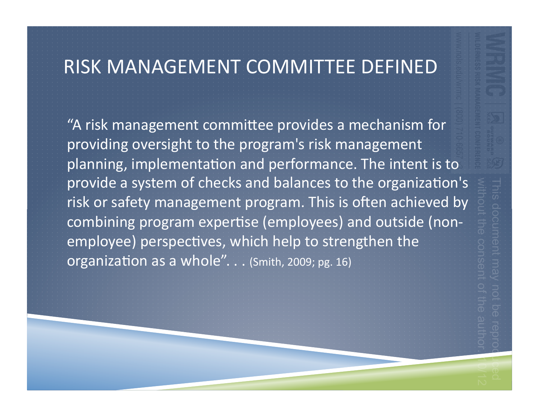#### RISK MANAGEMENT COMMITTEE DEFINED

"A risk management committee provides a mechanism for providing oversight to the program's risk management planning, implementation and performance. The intent is to provide a system of checks and balances to the organization's risk or safety management program. This is often achieved by combining program expertise (employees) and outside (nonemployee) perspectives, which help to strengthen the organization as a whole". . . (Smith, 2009; pg. 16)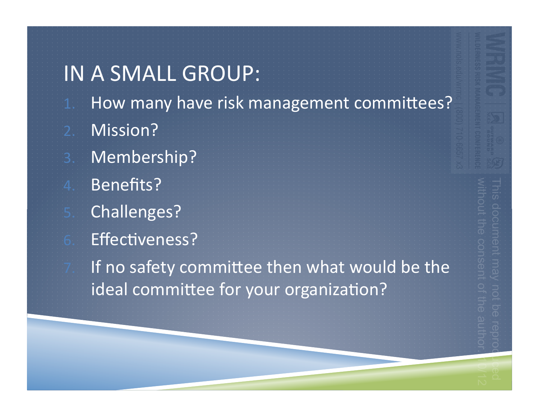#### IN A SMALL GROUP:

- 1. How many have risk management committees?
- 2. Mission?
- 3. Membership?
- 4. Benefits?
	- Challenges?
	- Effectiveness?
		- If no safety committee then what would be the ideal committee for your organization?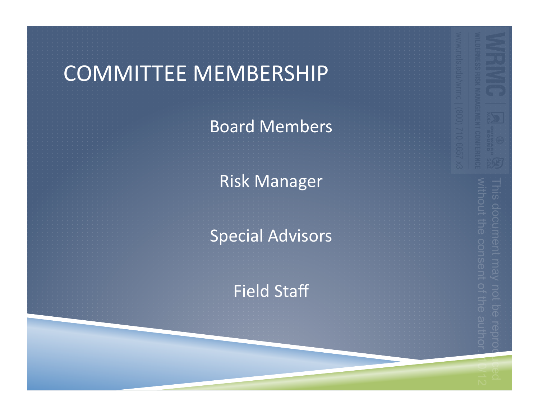## COMMITTEE MEMBERSHIP

**Board Members** 

**Risk Manager** 

**Special Advisors** 

Field Staff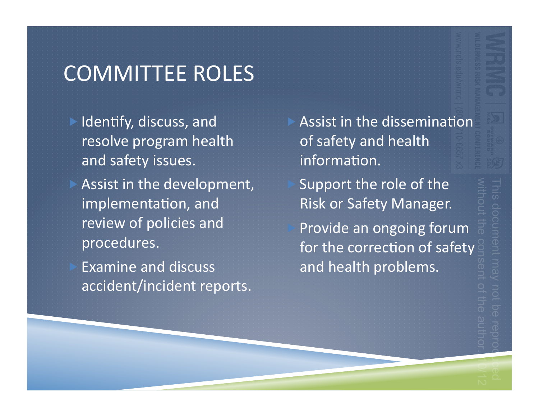## COMMITTEE ROLES

Identify, discuss, and resolve program health and safety issues. Assist in the development, implementation, and review of policies and procedures.

Examine and discuss accident/incident reports. Assist in the dissemination of safety and health information. Support the role of the

Risk or Safety Manager.

Provide an ongoing forum for the correction of safety and health problems.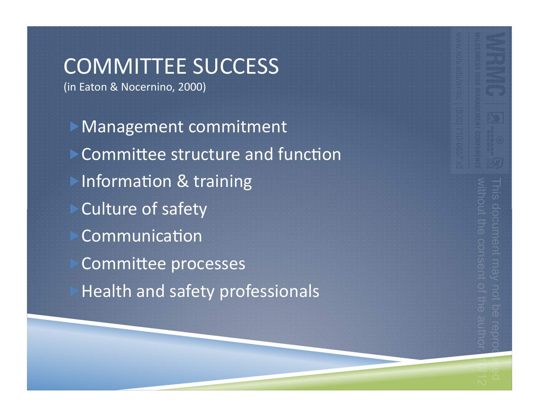## COMMITTEE SUCCESS

(in Eaton & Nocernino, 2000)

**Management commitment** Committee structure and function Information & training Culture of safety Communication Committee processes **Health and safety professionals**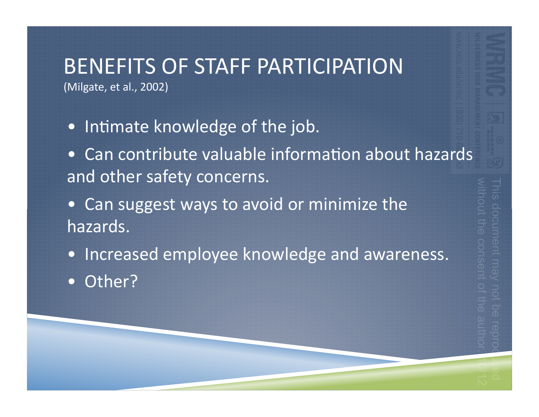#### BENEFITS OF STAFF PARTICIPATION (Milgate, et al., 2002)

- Intimate knowledge of the job.
- Can contribute valuable information about hazards and other safety concerns.
- Can suggest ways to avoid or minimize the hazards.
- Increased employee knowledge and awareness.
- Other?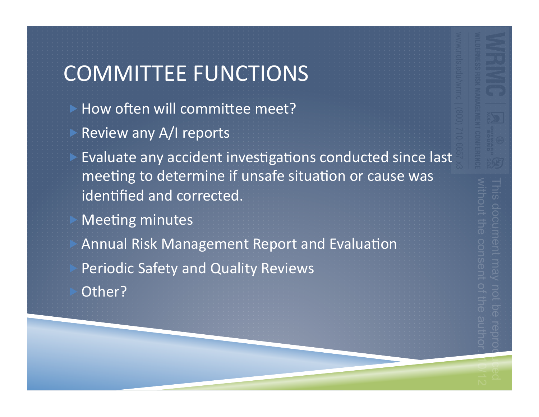## **COMMITTEE FUNCTIONS**

- How often will committee meet?
- Review any A/I reports
- Evaluate any accident investigations conducted since last meeting to determine if unsafe situation or cause was identified and corrected.
- **Meeting minutes**
- Annual Risk Management Report and Evaluation **Periodic Safety and Quality Reviews** Other?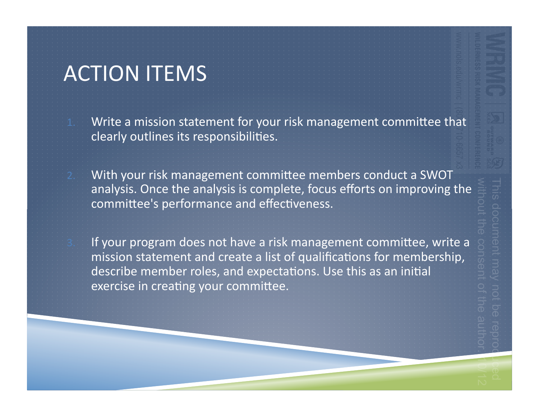### **ACTION ITEMS**

Write a mission statement for your risk management committee that clearly outlines its responsibilities.

With your risk management committee members conduct a SWOT analysis. Once the analysis is complete, focus efforts on improving the committee's performance and effectiveness.

If your program does not have a risk management committee, write a mission statement and create a list of qualifications for membership, describe member roles, and expectations. Use this as an initial exercise in creating your committee.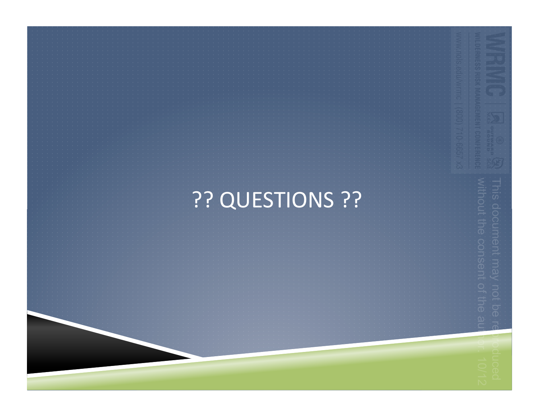# ?? QUESTIONS ??